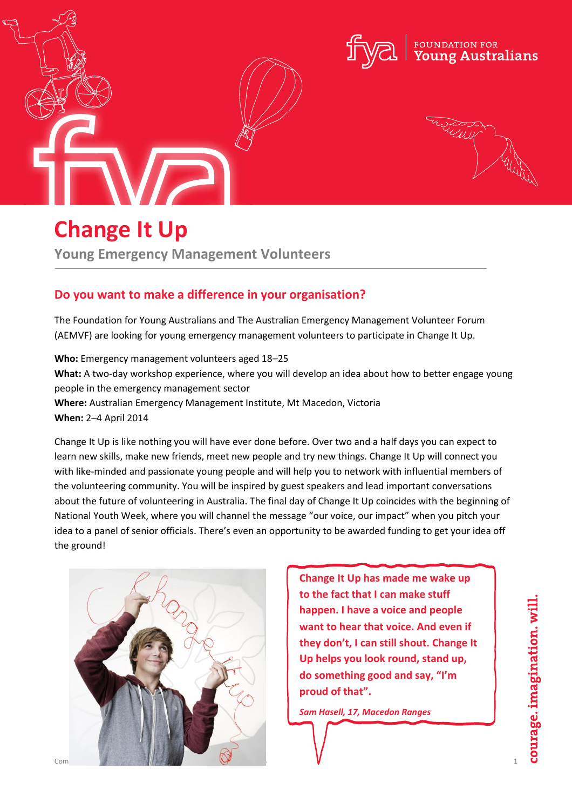



# **Change It Up**

**Young Emergency Management Volunteers**

# **Do you want to make a difference in your organisation?**

The Foundation for Young Australians and The Australian Emergency Management Volunteer Forum (AEMVF) are looking for young emergency management volunteers to participate in Change It Up.

**Who:** Emergency management volunteers aged 18–25 **What:** A two-day workshop experience, where you will develop an idea about how to better engage young people in the emergency management sector **Where:** Australian Emergency Management Institute, Mt Macedon, Victoria **When:** 2–4 April 2014

Change It Up is like nothing you will have ever done before. Over two and a half days you can expect to learn new skills, make new friends, meet new people and try new things. Change It Up will connect you with like-minded and passionate young people and will help you to network with influential members of the volunteering community. You will be inspired by guest speakers and lead important conversations about the future of volunteering in Australia. The final day of Change It Up coincides with the beginning of National Youth Week, where you will channel the message "our voice, our impact" when you pitch your idea to a panel of senior officials. There's even an opportunity to be awarded funding to get your idea off the ground!



**Change It Up has made me wake up to the fact that I can make stuff happen. I have a voice and people want to hear that voice. And even if they don't, I can still shout. Change It Up helps you look round, stand up, do something good and say, "I'm proud of that".**

*Sam Hasell, 17, Macedon Ranges*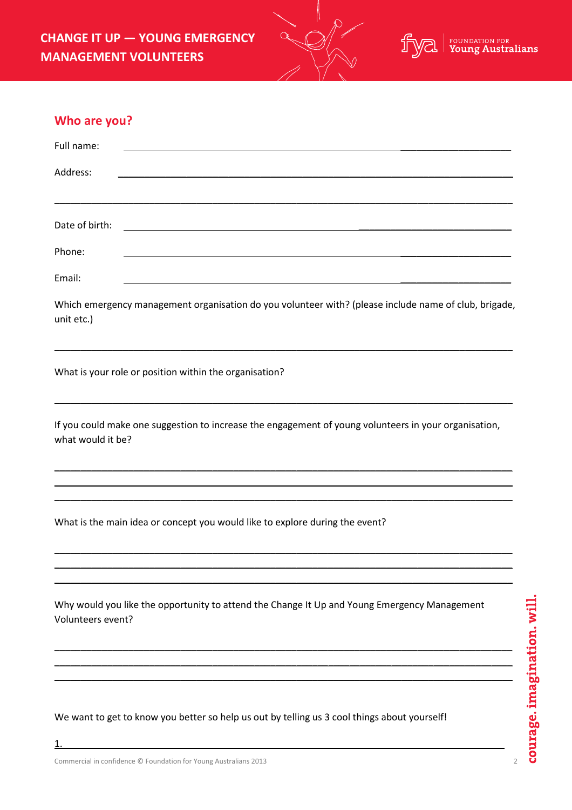**CHANGE IT UP — YOUNG EMERGENCY MANAGEMENT VOLUNTEERS**



| Who are you? |  |
|--------------|--|
|--------------|--|

| Full name:     |                                                                                                                      |  |  |
|----------------|----------------------------------------------------------------------------------------------------------------------|--|--|
| Address:       | <u> 1980 - Johann Barbara, martin a</u>                                                                              |  |  |
|                |                                                                                                                      |  |  |
| Date of birth: | <u> 1989 - Jan Stein Stein Stein Stein Stein Stein Stein Stein Stein Stein Stein Stein Stein Stein Stein Stein S</u> |  |  |
| Phone:         |                                                                                                                      |  |  |
| Email:         |                                                                                                                      |  |  |

Which emergency management organisation do you volunteer with? (please include name of club, brigade, unit etc.)

\_\_\_\_\_\_\_\_\_\_\_\_\_\_\_\_\_\_\_\_\_\_\_\_\_\_\_\_\_\_\_\_\_\_\_\_\_\_\_\_\_\_\_\_\_\_\_\_\_\_\_\_\_\_\_\_\_\_\_\_\_\_\_\_\_\_\_\_\_\_\_\_\_\_\_\_\_\_\_\_\_\_\_\_\_\_\_

\_\_\_\_\_\_\_\_\_\_\_\_\_\_\_\_\_\_\_\_\_\_\_\_\_\_\_\_\_\_\_\_\_\_\_\_\_\_\_\_\_\_\_\_\_\_\_\_\_\_\_\_\_\_\_\_\_\_\_\_\_\_\_\_\_\_\_\_\_\_\_\_\_\_\_\_\_\_\_\_\_\_\_\_\_\_\_

What is your role or position within the organisation?

If you could make one suggestion to increase the engagement of young volunteers in your organisation, what would it be?

\_\_\_\_\_\_\_\_\_\_\_\_\_\_\_\_\_\_\_\_\_\_\_\_\_\_\_\_\_\_\_\_\_\_\_\_\_\_\_\_\_\_\_\_\_\_\_\_\_\_\_\_\_\_\_\_\_\_\_\_\_\_\_\_\_\_\_\_\_\_\_\_\_\_\_\_\_\_\_\_\_\_\_\_\_\_\_ \_\_\_\_\_\_\_\_\_\_\_\_\_\_\_\_\_\_\_\_\_\_\_\_\_\_\_\_\_\_\_\_\_\_\_\_\_\_\_\_\_\_\_\_\_\_\_\_\_\_\_\_\_\_\_\_\_\_\_\_\_\_\_\_\_\_\_\_\_\_\_\_\_\_\_\_\_\_\_\_\_\_\_\_\_\_\_ \_\_\_\_\_\_\_\_\_\_\_\_\_\_\_\_\_\_\_\_\_\_\_\_\_\_\_\_\_\_\_\_\_\_\_\_\_\_\_\_\_\_\_\_\_\_\_\_\_\_\_\_\_\_\_\_\_\_\_\_\_\_\_\_\_\_\_\_\_\_\_\_\_\_\_\_\_\_\_\_\_\_\_\_\_\_\_

\_\_\_\_\_\_\_\_\_\_\_\_\_\_\_\_\_\_\_\_\_\_\_\_\_\_\_\_\_\_\_\_\_\_\_\_\_\_\_\_\_\_\_\_\_\_\_\_\_\_\_\_\_\_\_\_\_\_\_\_\_\_\_\_\_\_\_\_\_\_\_\_\_\_\_\_\_\_\_\_\_\_\_\_\_\_\_ \_\_\_\_\_\_\_\_\_\_\_\_\_\_\_\_\_\_\_\_\_\_\_\_\_\_\_\_\_\_\_\_\_\_\_\_\_\_\_\_\_\_\_\_\_\_\_\_\_\_\_\_\_\_\_\_\_\_\_\_\_\_\_\_\_\_\_\_\_\_\_\_\_\_\_\_\_\_\_\_\_\_\_\_\_\_\_ \_\_\_\_\_\_\_\_\_\_\_\_\_\_\_\_\_\_\_\_\_\_\_\_\_\_\_\_\_\_\_\_\_\_\_\_\_\_\_\_\_\_\_\_\_\_\_\_\_\_\_\_\_\_\_\_\_\_\_\_\_\_\_\_\_\_\_\_\_\_\_\_\_\_\_\_\_\_\_\_\_\_\_\_\_\_\_

\_\_\_\_\_\_\_\_\_\_\_\_\_\_\_\_\_\_\_\_\_\_\_\_\_\_\_\_\_\_\_\_\_\_\_\_\_\_\_\_\_\_\_\_\_\_\_\_\_\_\_\_\_\_\_\_\_\_\_\_\_\_\_\_\_\_\_\_\_\_\_\_\_\_\_\_\_\_\_\_\_\_\_\_\_\_\_ \_\_\_\_\_\_\_\_\_\_\_\_\_\_\_\_\_\_\_\_\_\_\_\_\_\_\_\_\_\_\_\_\_\_\_\_\_\_\_\_\_\_\_\_\_\_\_\_\_\_\_\_\_\_\_\_\_\_\_\_\_\_\_\_\_\_\_\_\_\_\_\_\_\_\_\_\_\_\_\_\_\_\_\_\_\_\_ \_\_\_\_\_\_\_\_\_\_\_\_\_\_\_\_\_\_\_\_\_\_\_\_\_\_\_\_\_\_\_\_\_\_\_\_\_\_\_\_\_\_\_\_\_\_\_\_\_\_\_\_\_\_\_\_\_\_\_\_\_\_\_\_\_\_\_\_\_\_\_\_\_\_\_\_\_\_\_\_\_\_\_\_\_\_\_

What is the main idea or concept you would like to explore during the event?

Why would you like the opportunity to attend the Change It Up and Young Emergency Management Volunteers event?

We want to get to know you better so help us out by telling us 3 cool things about yourself!

1.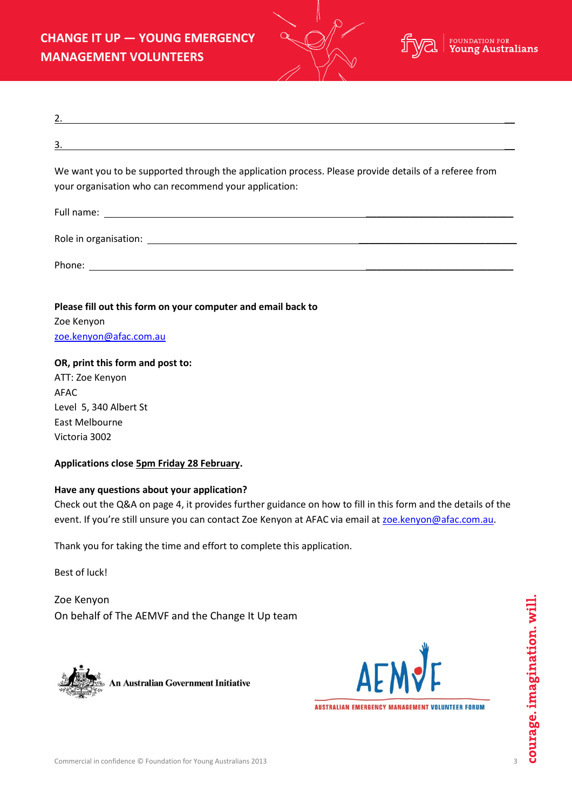**CHANGE IT UP — YOUNG EMERGENCY MANAGEMENT VOLUNTEERS**



| We want you to be supported through the application process. Please provide details of a referee from<br>your organisation who can recommend your application: |
|----------------------------------------------------------------------------------------------------------------------------------------------------------------|
|                                                                                                                                                                |
|                                                                                                                                                                |

Phone: \_\_\_\_\_\_\_\_\_\_\_\_\_\_\_\_\_\_\_\_\_\_\_\_\_\_\_\_

**Please fill out this form on your computer and email back to**  Zoe Kenyon [zoe.kenyon@afac.com.au](mailto:zoe.kenyon@afac.com.au)

## **OR, print this form and post to:**

ATT: Zoe Kenyon AFAC Level 5, 340 Albert St East Melbourne Victoria 3002

# **Applications close 5pm Friday 28 February.**

### **Have any questions about your application?**

Check out the Q&A on page 4, it provides further guidance on how to fill in this form and the details of the event. If you're still unsure you can contact Zoe Kenyon at AFAC via email at [zoe.kenyon@afac.com.au.](mailto:zoe.kenyon@afac.com.au)

Thank you for taking the time and effort to complete this application.

Best of luck!

Zoe Kenyon On behalf of The AEMVF and the Change It Up team



An Australian Government Initiative



AUSTRALIAN EMERGENCY MANAGEMENT VOLUNTEER FORUM